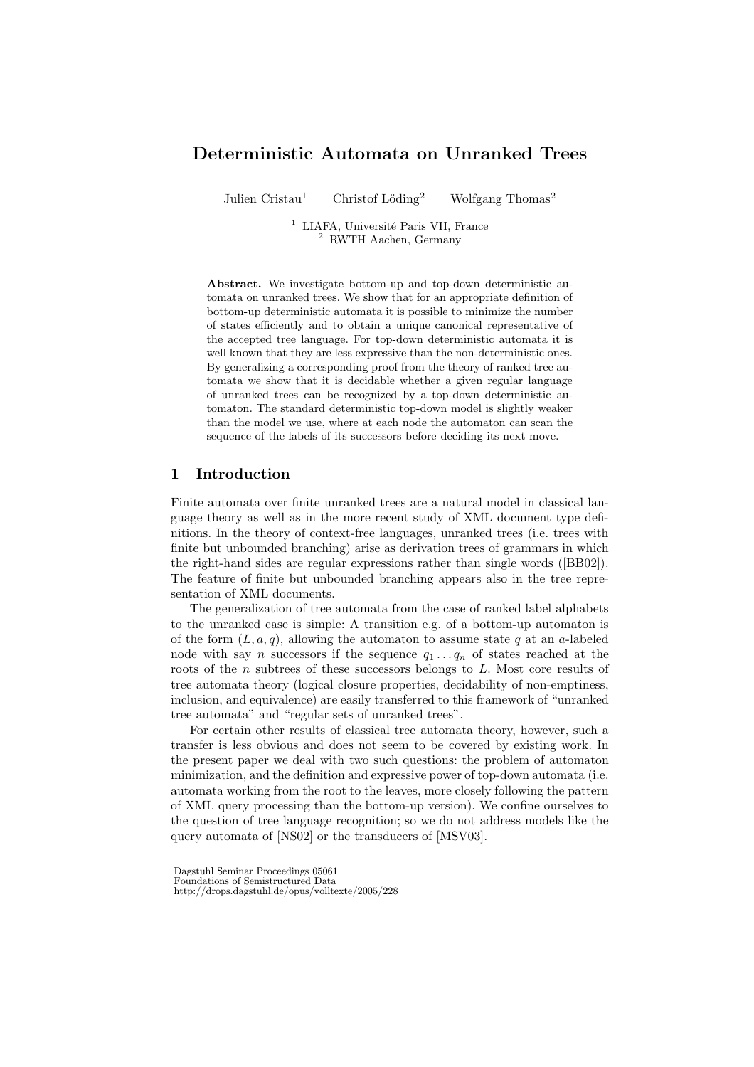# Deterministic Automata on Unranked Trees

Julien Cristau<sup>1</sup> Christof Löding<sup>2</sup> Wolfgang Thomas<sup>2</sup>

<sup>1</sup> LIAFA, Université Paris VII, France <sup>2</sup> RWTH Aachen, Germany

Abstract. We investigate bottom-up and top-down deterministic automata on unranked trees. We show that for an appropriate definition of bottom-up deterministic automata it is possible to minimize the number of states efficiently and to obtain a unique canonical representative of the accepted tree language. For top-down deterministic automata it is well known that they are less expressive than the non-deterministic ones. By generalizing a corresponding proof from the theory of ranked tree automata we show that it is decidable whether a given regular language of unranked trees can be recognized by a top-down deterministic automaton. The standard deterministic top-down model is slightly weaker than the model we use, where at each node the automaton can scan the sequence of the labels of its successors before deciding its next move.

## 1 Introduction

Finite automata over finite unranked trees are a natural model in classical language theory as well as in the more recent study of XML document type definitions. In the theory of context-free languages, unranked trees (i.e. trees with finite but unbounded branching) arise as derivation trees of grammars in which the right-hand sides are regular expressions rather than single words ([BB02]). The feature of finite but unbounded branching appears also in the tree representation of XML documents.

The generalization of tree automata from the case of ranked label alphabets to the unranked case is simple: A transition e.g. of a bottom-up automaton is of the form  $(L, a, q)$ , allowing the automaton to assume state q at an a-labeled node with say *n* successors if the sequence  $q_1 \ldots q_n$  of states reached at the roots of the  $n$  subtrees of these successors belongs to  $L$ . Most core results of tree automata theory (logical closure properties, decidability of non-emptiness, inclusion, and equivalence) are easily transferred to this framework of "unranked tree automata" and "regular sets of unranked trees".

For certain other results of classical tree automata theory, however, such a transfer is less obvious and does not seem to be covered by existing work. In the present paper we deal with two such questions: the problem of automaton minimization, and the definition and expressive power of top-down automata (i.e. automata working from the root to the leaves, more closely following the pattern of XML query processing than the bottom-up version). We confine ourselves to the question of tree language recognition; so we do not address models like the query automata of [NS02] or the transducers of [MSV03].

Dagstuhl Seminar Proceedings 05061

Foundations of Semistructured Data http://drops.dagstuhl.de/opus/volltexte/2005/228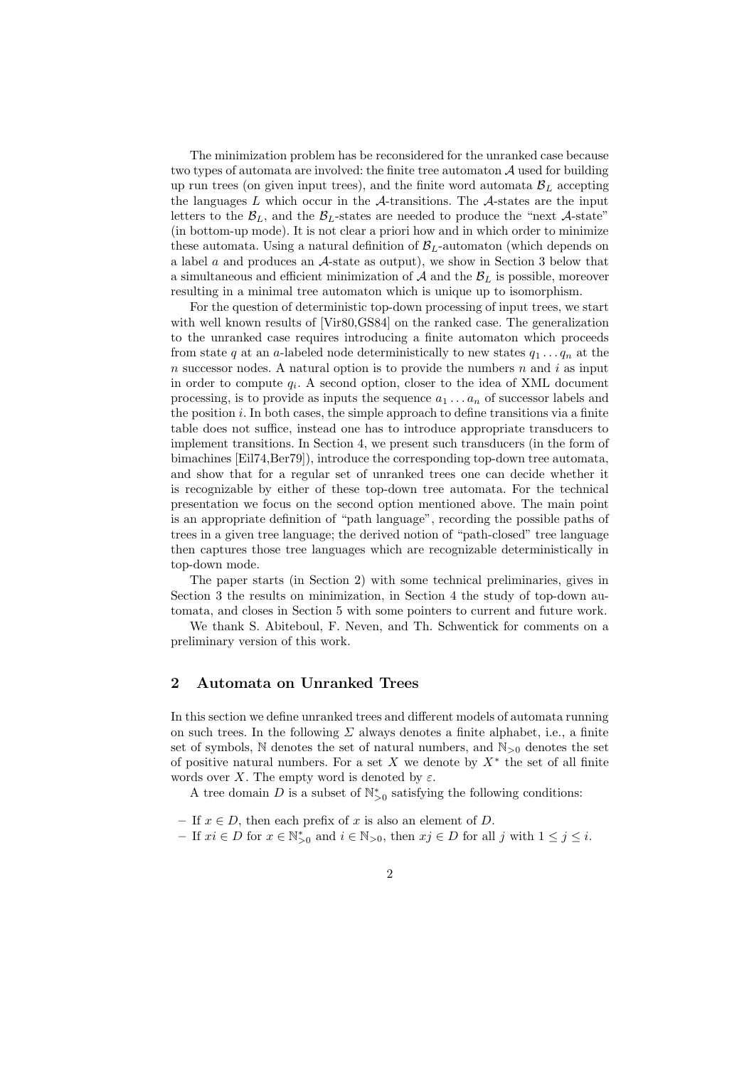The minimization problem has be reconsidered for the unranked case because two types of automata are involved: the finite tree automaton  $A$  used for building up run trees (on given input trees), and the finite word automata  $B_L$  accepting the languages  $L$  which occur in the  $A$ -transitions. The  $A$ -states are the input letters to the  $\mathcal{B}_L$ , and the  $\mathcal{B}_L$ -states are needed to produce the "next A-state" (in bottom-up mode). It is not clear a priori how and in which order to minimize these automata. Using a natural definition of  $B_L$ -automaton (which depends on a label a and produces an A-state as output), we show in Section 3 below that a simultaneous and efficient minimization of  $A$  and the  $B<sub>L</sub>$  is possible, moreover resulting in a minimal tree automaton which is unique up to isomorphism.

For the question of deterministic top-down processing of input trees, we start with well known results of  $|Vir80,GS84|$  on the ranked case. The generalization to the unranked case requires introducing a finite automaton which proceeds from state q at an a-labeled node deterministically to new states  $q_1 \ldots q_n$  at the n successor nodes. A natural option is to provide the numbers  $n$  and  $i$  as input in order to compute  $q_i$ . A second option, closer to the idea of XML document processing, is to provide as inputs the sequence  $a_1 \ldots a_n$  of successor labels and the position  $i$ . In both cases, the simple approach to define transitions via a finite table does not suffice, instead one has to introduce appropriate transducers to implement transitions. In Section 4, we present such transducers (in the form of bimachines [Eil74,Ber79]), introduce the corresponding top-down tree automata, and show that for a regular set of unranked trees one can decide whether it is recognizable by either of these top-down tree automata. For the technical presentation we focus on the second option mentioned above. The main point is an appropriate definition of "path language", recording the possible paths of trees in a given tree language; the derived notion of "path-closed" tree language then captures those tree languages which are recognizable deterministically in top-down mode.

The paper starts (in Section 2) with some technical preliminaries, gives in Section 3 the results on minimization, in Section 4 the study of top-down automata, and closes in Section 5 with some pointers to current and future work.

We thank S. Abiteboul, F. Neven, and Th. Schwentick for comments on a preliminary version of this work.

## 2 Automata on Unranked Trees

In this section we define unranked trees and different models of automata running on such trees. In the following  $\Sigma$  always denotes a finite alphabet, i.e., a finite set of symbols,  $\mathbb N$  denotes the set of natural numbers, and  $\mathbb N_{>0}$  denotes the set of positive natural numbers. For a set X we denote by  $X^*$  the set of all finite words over X. The empty word is denoted by  $\varepsilon$ .

A tree domain D is a subset of  $\mathbb{N}_{>0}^*$  satisfying the following conditions:

- If  $x \in D$ , then each prefix of x is also an element of D.
- $-$  If  $xi \in D$  for  $x \in \mathbb{N}_{\geq 0}^*$  and  $i \in \mathbb{N}_{>0}$ , then  $xj \in D$  for all j with  $1 \leq j \leq i$ .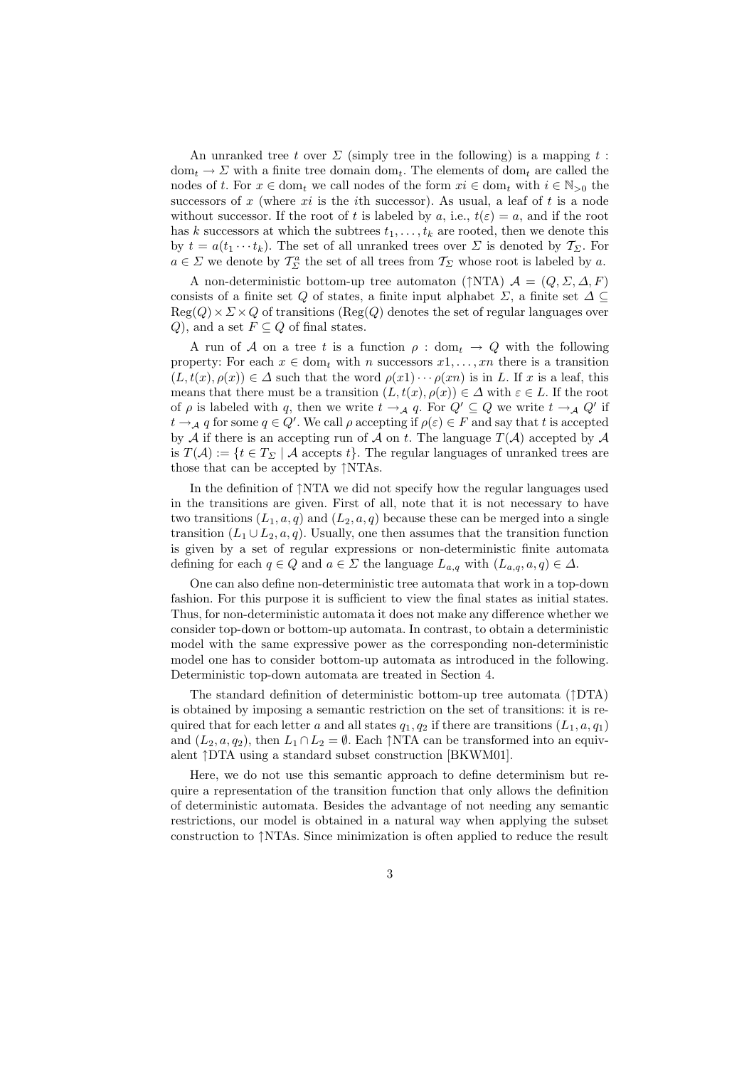An unranked tree t over  $\Sigma$  (simply tree in the following) is a mapping t:  $dom_t \to \Sigma$  with a finite tree domain dom<sub>t</sub>. The elements of dom<sub>t</sub> are called the nodes of t. For  $x \in \text{dom}_t$  we call nodes of the form  $xi \in \text{dom}_t$  with  $i \in \mathbb{N}_{>0}$  the successors of x (where  $xi$  is the *i*th successor). As usual, a leaf of t is a node without successor. If the root of t is labeled by a, i.e.,  $t(\varepsilon) = a$ , and if the root has k successors at which the subtrees  $t_1, \ldots, t_k$  are rooted, then we denote this by  $t = a(t_1 \cdots t_k)$ . The set of all unranked trees over  $\Sigma$  is denoted by  $\mathcal{T}_{\Sigma}$ . For  $a \in \Sigma$  we denote by  $\mathcal{T}_{\Sigma}^{a}$  the set of all trees from  $\mathcal{T}_{\Sigma}$  whose root is labeled by a.

A non-deterministic bottom-up tree automaton (↑NTA)  $\mathcal{A} = (Q, \Sigma, \Delta, F)$ consists of a finite set Q of states, a finite input alphabet  $\Sigma$ , a finite set  $\Delta \subseteq$  $Reg(Q) \times \Sigma \times Q$  of transitions (Reg(Q) denotes the set of regular languages over Q), and a set  $F \subseteq Q$  of final states.

A run of A on a tree t is a function  $\rho : dom_t \to Q$  with the following property: For each  $x \in \text{dom}_t$  with n successors  $x_1, \ldots, x_n$  there is a transition  $(L, t(x), \rho(x)) \in \Delta$  such that the word  $\rho(x_1) \cdots \rho(x_n)$  is in L. If x is a leaf, this means that there must be a transition  $(L, t(x), \rho(x)) \in \Delta$  with  $\varepsilon \in L$ . If the root of  $\rho$  is labeled with q, then we write  $t \to_{\mathcal{A}} q$ . For  $Q' \subseteq Q$  we write  $t \to_{\mathcal{A}} Q'$  if  $t \to_{\mathcal{A}} q$  for some  $q \in Q'$ . We call  $\rho$  accepting if  $\rho(\varepsilon) \in F$  and say that t is accepted by  $A$  if there is an accepting run of  $A$  on  $t$ . The language  $T(A)$  accepted by  $A$ is  $T(A) := \{t \in T_{\Sigma} \mid A \text{ accepts } t\}.$  The regular languages of unranked trees are those that can be accepted by ↑NTAs.

In the definition of ↑NTA we did not specify how the regular languages used in the transitions are given. First of all, note that it is not necessary to have two transitions  $(L_1, a, q)$  and  $(L_2, a, q)$  because these can be merged into a single transition  $(L_1 \cup L_2, a, q)$ . Usually, one then assumes that the transition function is given by a set of regular expressions or non-deterministic finite automata defining for each  $q \in Q$  and  $a \in \Sigma$  the language  $L_{a,q}$  with  $(L_{a,q}, a, q) \in \Delta$ .

One can also define non-deterministic tree automata that work in a top-down fashion. For this purpose it is sufficient to view the final states as initial states. Thus, for non-deterministic automata it does not make any difference whether we consider top-down or bottom-up automata. In contrast, to obtain a deterministic model with the same expressive power as the corresponding non-deterministic model one has to consider bottom-up automata as introduced in the following. Deterministic top-down automata are treated in Section 4.

The standard definition of deterministic bottom-up tree automata  $(†DTA)$ is obtained by imposing a semantic restriction on the set of transitions: it is required that for each letter a and all states  $q_1, q_2$  if there are transitions  $(L_1, a, q_1)$ and  $(L_2, a, q_2)$ , then  $L_1 \cap L_2 = \emptyset$ . Each  $\uparrow$ NTA can be transformed into an equivalent ↑DTA using a standard subset construction [BKWM01].

Here, we do not use this semantic approach to define determinism but require a representation of the transition function that only allows the definition of deterministic automata. Besides the advantage of not needing any semantic restrictions, our model is obtained in a natural way when applying the subset construction to ↑NTAs. Since minimization is often applied to reduce the result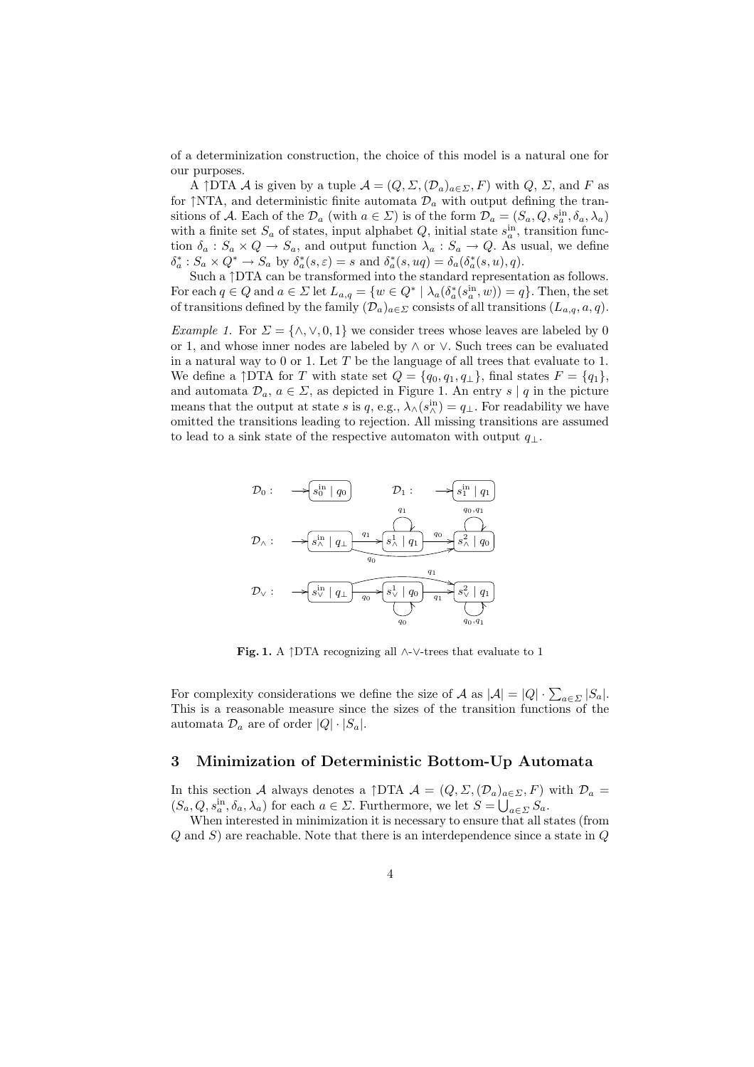of a determinization construction, the choice of this model is a natural one for our purposes.

A  $\uparrow$ DTA A is given by a tuple  $\mathcal{A} = (Q, \Sigma, (\mathcal{D}_a)_{a \in \Sigma}, F)$  with  $Q, \Sigma$ , and F as for  $\uparrow$ NTA, and deterministic finite automata  $\mathcal{D}_a$  with output defining the transitions of A. Each of the  $\mathcal{D}_a$  (with  $a \in \Sigma$ ) is of the form  $\mathcal{D}_a = (S_a, Q, s_a^{\text{in}}, \delta_a, \lambda_a)$ with a finite set  $S_a$  of states, input alphabet  $Q$ , initial state  $s_a^{\text{in}}$ , transition function  $\delta_a$ :  $S_a \times Q \to S_a$ , and output function  $\lambda_a$ :  $S_a \to Q$ . As usual, we define  $\delta_a^*$ :  $S_a \times Q^* \to S_a$  by  $\delta_a^*(s, \varepsilon) = s$  and  $\delta_a^*(s, uq) = \delta_a(\delta_a^*(s, u), q)$ .

Such a ↑DTA can be transformed into the standard representation as follows. For each  $q \in Q$  and  $a \in \Sigma$  let  $L_{a,q} = \{w \in Q^* \mid \lambda_a(\delta_a^*(s_a^{\text{in}}, w)) = q\}$ . Then, the set of transitions defined by the family  $(\mathcal{D}_a)_{a \in \Sigma}$  consists of all transitions  $(L_{a,q}, a, q)$ .

Example 1. For  $\Sigma = \{\wedge, \vee, 0, 1\}$  we consider trees whose leaves are labeled by 0 or 1, and whose inner nodes are labeled by ∧ or ∨. Such trees can be evaluated in a natural way to  $0$  or 1. Let  $T$  be the language of all trees that evaluate to 1. We define a  $\uparrow$  DTA for T with state set  $Q = \{q_0, q_1, q_{\perp}\}\,$  final states  $F = \{q_1\},\,$ and automata  $\mathcal{D}_a, a \in \Sigma$ , as depicted in Figure 1. An entry s | q in the picture means that the output at state s is q, e.g.,  $\lambda_0(s_i^{\text{in}}) = q_\perp$ . For readability we have omitted the transitions leading to rejection. All missing transitions are assumed to lead to a sink state of the respective automaton with output  $q_{\perp}$ .



Fig. 1. A ↑DTA recognizing all ∧-∨-trees that evaluate to 1

For complexity considerations we define the size of A as  $|A| = |Q| \cdot \sum_{a \in \Sigma} |S_a|$ . This is a reasonable measure since the sizes of the transition functions of the automata  $\mathcal{D}_a$  are of order  $|Q| \cdot |S_a|$ .

## 3 Minimization of Deterministic Bottom-Up Automata

In this section A always denotes a  $\uparrow$ DTA  $\mathcal{A} = (Q, \Sigma, (\mathcal{D}_a)_{a \in \Sigma}, F)$  with  $\mathcal{D}_a =$  $(S_a, Q, s_a^{\text{in}}, \delta_a, \lambda_a)$  for each  $a \in \Sigma$ . Furthermore, we let  $S = \bigcup_{a \in \Sigma} S_a$ .

When interested in minimization it is necessary to ensure that all states (from  $Q$  and  $S$ ) are reachable. Note that there is an interdependence since a state in  $Q$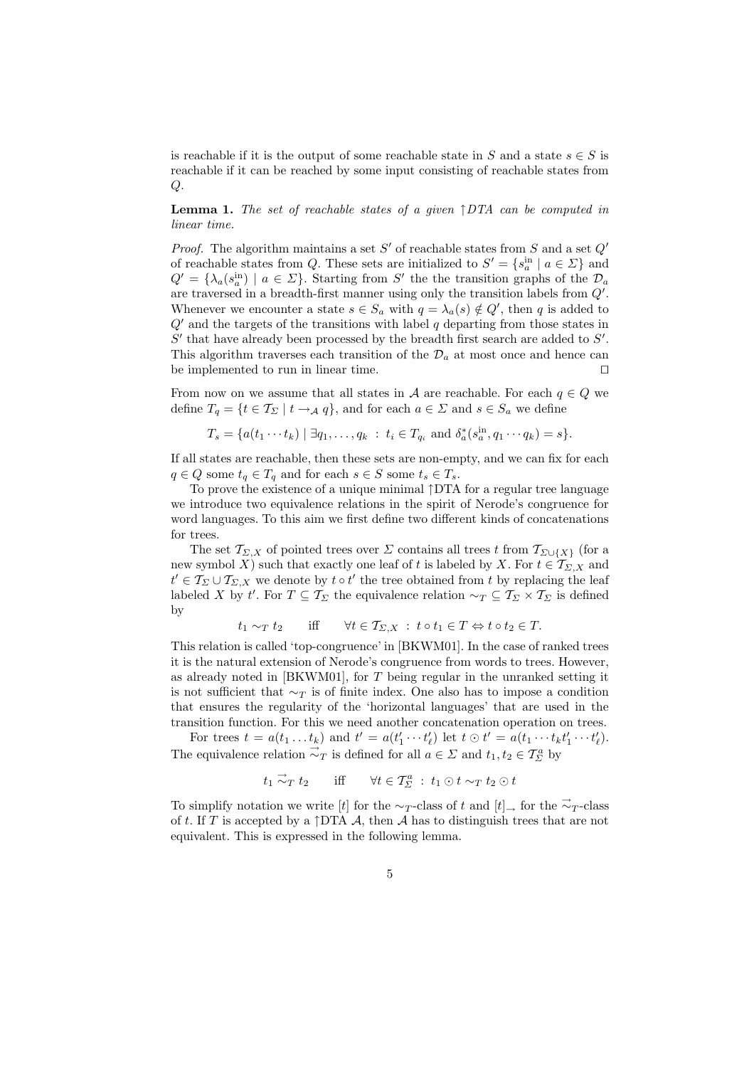is reachable if it is the output of some reachable state in S and a state  $s \in S$  is reachable if it can be reached by some input consisting of reachable states from Q.

**Lemma 1.** The set of reachable states of a given  $\uparrow$  DTA can be computed in linear time.

*Proof.* The algorithm maintains a set  $S'$  of reachable states from  $S$  and a set  $Q'$ of reachable states from Q. These sets are initialized to  $S' = \{s_a^{\text{in}} \mid a \in \Sigma\}$  and  $Q' = {\lambda_a(s_a^{\text{in}}) \mid a \in \Sigma}$ . Starting from S' the the transition graphs of the  $\mathcal{D}_a$ are traversed in a breadth-first manner using only the transition labels from  $Q'$ . Whenever we encounter a state  $s \in S_a$  with  $q = \lambda_a(s) \notin Q'$ , then q is added to  $Q'$  and the targets of the transitions with label  $q$  departing from those states in  $S'$  that have already been processed by the breadth first search are added to  $S'$ . This algorithm traverses each transition of the  $\mathcal{D}_a$  at most once and hence can be implemented to run in linear time.  $\Box$ 

From now on we assume that all states in A are reachable. For each  $q \in Q$  we define  $T_q = \{t \in T_\Sigma \mid t \to_A q\}$ , and for each  $a \in \Sigma$  and  $s \in S_q$  we define

$$
T_s = \{a(t_1 \cdots t_k) \mid \exists q_1, \ldots, q_k : t_i \in T_{q_i} \text{ and } \delta_a^*(s_a^{\text{in}}, q_1 \cdots q_k) = s\}.
$$

If all states are reachable, then these sets are non-empty, and we can fix for each  $q \in Q$  some  $t_q \in T_q$  and for each  $s \in S$  some  $t_s \in T_s$ .

To prove the existence of a unique minimal ↑DTA for a regular tree language we introduce two equivalence relations in the spirit of Nerode's congruence for word languages. To this aim we first define two different kinds of concatenations for trees.

The set  $\mathcal{T}_{\Sigma,X}$  of pointed trees over  $\Sigma$  contains all trees t from  $\mathcal{T}_{\Sigma\cup\{X\}}$  (for a new symbol X) such that exactly one leaf of t is labeled by X. For  $t \in \mathcal{T}_{\Sigma,X}$  and  $t' \in T_{\Sigma} \cup T_{\Sigma, X}$  we denote by  $t \circ t'$  the tree obtained from t by replacing the leaf labeled X by t'. For  $T \subseteq \mathcal{T}_{\Sigma}$  the equivalence relation  $\sim_T \subseteq \mathcal{T}_{\Sigma} \times \mathcal{T}_{\Sigma}$  is defined by

$$
t_1 \sim_T t_2
$$
 iff  $\forall t \in T_{\Sigma,X} : t \circ t_1 \in T \Leftrightarrow t \circ t_2 \in T$ .

This relation is called 'top-congruence' in [BKWM01]. In the case of ranked trees it is the natural extension of Nerode's congruence from words to trees. However, as already noted in [BKWM01], for  $T$  being regular in the unranked setting it is not sufficient that  $\sim_T$  is of finite index. One also has to impose a condition that ensures the regularity of the 'horizontal languages' that are used in the transition function. For this we need another concatenation operation on trees.

For trees  $t = a(t_1 \ldots t_k)$  and  $t' = a(t'_1 \cdots t'_\ell)$  let  $t \odot t' = a(t_1 \cdots t_k t'_1 \cdots t'_\ell)$ . The equivalence relation  $\vec{\sim}_T$  is defined for all  $a \in \Sigma$  and  $t_1, t_2 \in \mathcal{T}_{\Sigma}^a$  by

$$
t_1 \stackrel{\rightarrow}{\sim}_T t_2
$$
 iff  $\forall t \in \mathcal{T}_{\Sigma}^a : t_1 \odot t \sim_T t_2 \odot t$ 

To simplify notation we write [t] for the  $\sim_T$ -class of t and [t]<sub>→</sub> for the  $\vec{\sim}_T$ -class of t. If T is accepted by a  $\uparrow$ DTA A, then A has to distinguish trees that are not equivalent. This is expressed in the following lemma.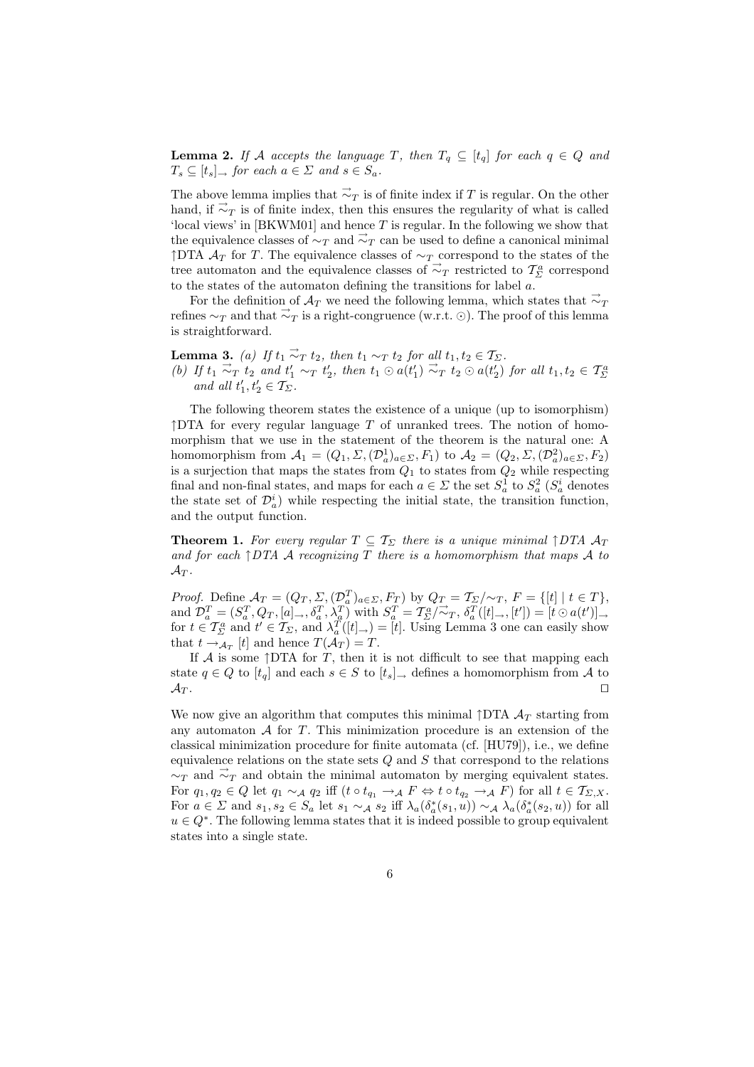**Lemma 2.** If A accepts the language T, then  $T_q \subseteq [t_q]$  for each  $q \in Q$  and  $T_s \subseteq [t_s] \rightarrow$  for each  $a \in \Sigma$  and  $s \in S_a$ .

The above lemma implies that  $\vec{\sim}_T$  is of finite index if T is regular. On the other hand, if  $\vec{\sim}_T$  is of finite index, then this ensures the regularity of what is called 'local views' in [BKWM01] and hence T is regular. In the following we show that the equivalence classes of  $\sim_T$  and  $\vec{\sim}_T$  can be used to define a canonical minimal ↑DTA  $A_T$  for T. The equivalence classes of  $\sim_T$  correspond to the states of the tree automaton and the equivalence classes of  $\vec{\sim}_T$  restricted to  $\mathcal{T}_{\Sigma}^a$  correspond to the states of the automaton defining the transitions for label  $a$ .

For the definition of  $\mathcal{A}_T$  we need the following lemma, which states that  $\vec{\sim}_T$ refines  $\sim_T$  and that  $\vec{\sim}_T$  is a right-congruence (w.r.t. ⊙). The proof of this lemma is straightforward.

**Lemma 3.** (a) If  $t_1 \stackrel{\rightarrow}{\sim}_T t_2$ , then  $t_1 \sim_T t_2$  for all  $t_1, t_2 \in T_\Sigma$ . (b) If  $t_1 \stackrel{\rightarrow}{\sim_T} t_2$  and  $t'_1 \sim_T t'_2$ , then  $t_1 \odot a(t'_1) \stackrel{\rightarrow}{\sim_T} t_2 \odot a(t'_2)$  for all  $t_1, t_2 \in \mathcal{T}_{\Sigma}^a$ and all  $t'_1, t'_2 \in \mathcal{T}_{\Sigma}$ .

The following theorem states the existence of a unique (up to isomorphism)  $\uparrow$ DTA for every regular language T of unranked trees. The notion of homomorphism that we use in the statement of the theorem is the natural one: A homomorphism from  $A_1 = (Q_1, \Sigma, (\mathcal{D}_a^1)_{a \in \Sigma}, F_1)$  to  $A_2 = (Q_2, \Sigma, (\mathcal{D}_a^2)_{a \in \Sigma}, F_2)$ is a surjection that maps the states from  $Q_1$  to states from  $Q_2$  while respecting final and non-final states, and maps for each  $a \in \Sigma$  the set  $S_a^1$  to  $S_a^2$  ( $S_a^i$  denotes the state set of  $\mathcal{D}_a^i$ ) while respecting the initial state, the transition function, and the output function.

**Theorem 1.** For every regular  $T \subseteq T_{\Sigma}$  there is a unique minimal  $\uparrow$  DTA  $\mathcal{A}_T$ and for each  $\uparrow$  DTA A recognizing T there is a homomorphism that maps A to  $\mathcal{A}_T.$ 

*Proof.* Define  $\mathcal{A}_T = (Q_T, \Sigma, (\mathcal{D}_a^T)_{a \in \Sigma}, F_T)$  by  $Q_T = \mathcal{T}_{\Sigma}/\sim_T$ ,  $F = \{[t] \mid t \in T\}$ , and  $\mathcal{D}_a^T = (S_a^T, Q_T, [a] \rightarrow \delta_a^T, \lambda_a^T)$  with  $S_a^T = \mathcal{T}_{\Sigma}^a / \vec{\sim}_T, \delta_a^T ([t] \rightarrow, [t']) = [t \odot a(t')] \rightarrow$ for  $t \in \mathcal{T}_{\Sigma}^a$  and  $t' \in \mathcal{T}_{\Sigma}$ , and  $\lambda_a^T([t]_{\rightarrow}) = [t]$ . Using Lemma 3 one can easily show that  $t \rightarrow_{\mathcal{A}_T} [t]$  and hence  $T(\mathcal{A}_T) = T$ .

If  $A$  is some  $\uparrow$ DTA for T, then it is not difficult to see that mapping each state  $q \in Q$  to  $[t_q]$  and each  $s \in S$  to  $[t_s]_{\rightarrow}$  defines a homomorphism from A to  $\mathcal{A}_T$ .

We now give an algorithm that computes this minimal  $\uparrow$ DTA  $\mathcal{A}_T$  starting from any automaton  $A$  for  $T$ . This minimization procedure is an extension of the classical minimization procedure for finite automata (cf. [HU79]), i.e., we define equivalence relations on the state sets  $Q$  and  $S$  that correspond to the relations  $\sim_T$  and  $\vec{\sim}_T$  and obtain the minimal automaton by merging equivalent states. For  $q_1, q_2 \in Q$  let  $q_1 \sim_A q_2$  iff  $(t \circ t_{q_1} \to_A F \Leftrightarrow t \circ t_{q_2} \to_A F)$  for all  $t \in \mathcal{T}_{\Sigma, X}$ . For  $a \in \Sigma$  and  $s_1, s_2 \in S_a$  let  $s_1 \sim_A s_2$  iff  $\lambda_a(\delta_a^*(s_1, u)) \sim_A \lambda_a(\delta_a^*(s_2, u))$  for all  $u \in Q^*$ . The following lemma states that it is indeed possible to group equivalent states into a single state.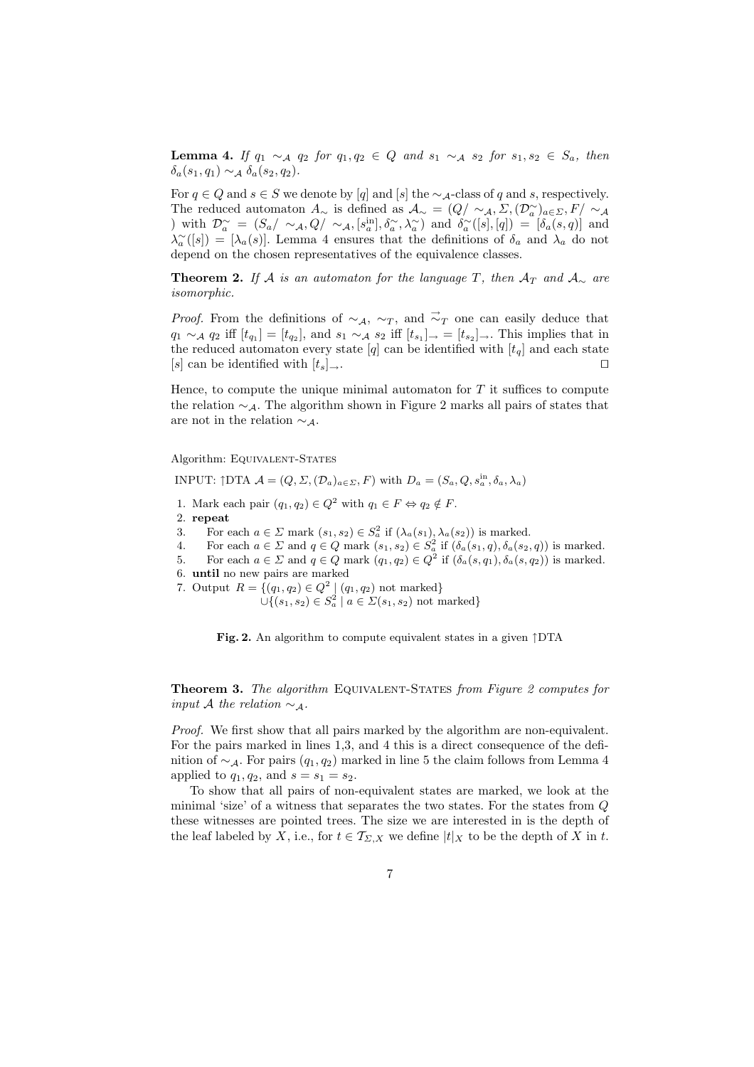Lemma 4. If  $q_1 \sim_A q_2$  for  $q_1, q_2 \in Q$  and  $s_1 \sim_A s_2$  for  $s_1, s_2 \in S_a$ , then  $\delta_a(s_1, q_1) \sim_A \delta_a(s_2, q_2).$ 

For  $q \in Q$  and  $s \in S$  we denote by  $[q]$  and  $[s]$  the  $\sim_{\mathcal{A}}$ -class of q and s, respectively. The reduced automaton  $A_{\sim}$  is defined as  $\mathcal{A}_{\sim} = (Q/\sim_{\mathcal{A}}, \Sigma, (\mathcal{D}_{a}^{\sim})_{a \in \Sigma}, F/\sim_{\mathcal{A}}$ ) with  $\mathcal{D}_{a}^{\sim} = (S_a/\sim_A, Q/\sim_A, [s_a^{\text{in}}], \delta_a^{\sim}, \lambda_a^{\sim})$  and  $\delta_a^{\sim}([s], [q]) = [\delta_a(s, q)]$  and  $\lambda_a^{\sim}([s]) = [\lambda_a(s)]$ . Lemma 4 ensures that the definitions of  $\delta_a$  and  $\lambda_a$  do not depend on the chosen representatives of the equivalence classes.

**Theorem 2.** If A is an automaton for the language T, then  $A_T$  and  $A_\sim$  are isomorphic.

*Proof.* From the definitions of  $\sim_A$ ,  $\sim_T$ , and  $\vec{\sim}_T$  one can easily deduce that  $q_1 \sim_A q_2$  iff  $[t_{q_1}] = [t_{q_2}]$ , and  $s_1 \sim_A s_2$  iff  $[t_{s_1}]_{\rightarrow} = [t_{s_2}]_{\rightarrow}$ . This implies that in the reduced automaton every state  $[q]$  can be identified with  $[t_q]$  and each state  $[s]$  can be identified with  $[t_s]_{\rightarrow}$ .

Hence, to compute the unique minimal automaton for  $T$  it suffices to compute the relation  $\sim_A$ . The algorithm shown in Figure 2 marks all pairs of states that are not in the relation  $\sim_A$ .

Algorithm: EQUIVALENT-STATES

INPUT:  $\uparrow$ DTA  $\mathcal{A} = (Q, \Sigma, (\mathcal{D}_a)_{a \in \Sigma}, F)$  with  $D_a = (S_a, Q, s_a^{\text{in}}, \delta_a, \lambda_a)$ 

- 1. Mark each pair  $(q_1, q_2) \in Q^2$  with  $q_1 \in F \Leftrightarrow q_2 \notin F$ .
- 2. repeat
- 3. For each  $a \in \Sigma$  mark  $(s_1, s_2) \in S_a^2$  if  $(\lambda_a(s_1), \lambda_a(s_2))$  is marked.
- 4. For each  $a \in \Sigma$  and  $q \in Q$  mark  $(s_1, s_2) \in S_a^2$  if  $(\delta_a(s_1, q), \delta_a(s_2, q))$  is marked.
- 5. For each  $a \in \Sigma$  and  $q \in Q$  mark  $(q_1, q_2) \in Q^2$  if  $(\delta_a(s, q_1), \delta_a(s, q_2))$  is marked.
- 6. until no new pairs are marked
- 7. Output  $R = \{(q_1, q_2) \in Q^2 \mid (q_1, q_2) \text{ not marked}\}\$

 $\cup \{(s_1, s_2) \in S_a^2 \mid a \in \Sigma(s_1, s_2) \text{ not marked}\}\$ 

Fig. 2. An algorithm to compute equivalent states in a given ↑DTA

Theorem 3. The algorithm Equivalent-States from Figure 2 computes for input A the relation  $\sim_A$ .

Proof. We first show that all pairs marked by the algorithm are non-equivalent. For the pairs marked in lines 1,3, and 4 this is a direct consequence of the definition of  $\sim_A$ . For pairs  $(q_1, q_2)$  marked in line 5 the claim follows from Lemma 4 applied to  $q_1, q_2$ , and  $s = s_1 = s_2$ .

To show that all pairs of non-equivalent states are marked, we look at the minimal 'size' of a witness that separates the two states. For the states from Q these witnesses are pointed trees. The size we are interested in is the depth of the leaf labeled by X, i.e., for  $t \in \mathcal{T}_{\Sigma,X}$  we define  $|t|_X$  to be the depth of X in t.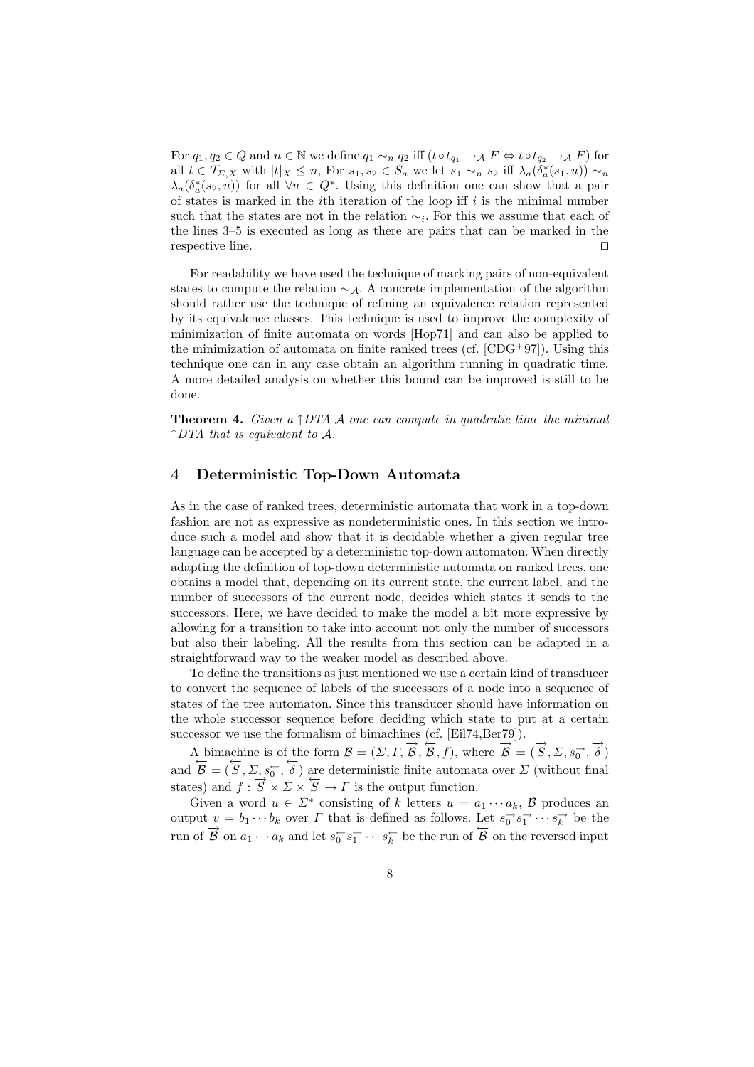For  $q_1, q_2 \in Q$  and  $n \in \mathbb{N}$  we define  $q_1 \sim_n q_2$  iff  $(t \circ t_{q_1} \to A F \Leftrightarrow t \circ t_{q_2} \to A F)$  for all  $t \in \mathcal{T}_{\Sigma,X}$  with  $|t|_X \leq n$ , For  $s_1, s_2 \in S_a$  we let  $s_1 \sim_n s_2$  iff  $\lambda_a(\delta_a^*(s_1, u)) \sim_n$  $\lambda_a(\delta_a^*(s_2, u))$  for all  $\forall u \in Q^*$ . Using this definition one can show that a pair of states is marked in the *i*th iteration of the loop iff  $i$  is the minimal number such that the states are not in the relation  $\sim_i$ . For this we assume that each of the lines 3–5 is executed as long as there are pairs that can be marked in the respective line.  $\Box$ 

For readability we have used the technique of marking pairs of non-equivalent states to compute the relation  $\sim_A$ . A concrete implementation of the algorithm should rather use the technique of refining an equivalence relation represented by its equivalence classes. This technique is used to improve the complexity of minimization of finite automata on words [Hop71] and can also be applied to the minimization of automata on finite ranked trees (cf.  $[CDG+97]$ ). Using this technique one can in any case obtain an algorithm running in quadratic time. A more detailed analysis on whether this bound can be improved is still to be done.

**Theorem 4.** Given a  $\uparrow$  DTA A one can compute in quadratic time the minimal  $\uparrow$  DTA that is equivalent to A.

#### 4 Deterministic Top-Down Automata

As in the case of ranked trees, deterministic automata that work in a top-down fashion are not as expressive as nondeterministic ones. In this section we introduce such a model and show that it is decidable whether a given regular tree language can be accepted by a deterministic top-down automaton. When directly adapting the definition of top-down deterministic automata on ranked trees, one obtains a model that, depending on its current state, the current label, and the number of successors of the current node, decides which states it sends to the successors. Here, we have decided to make the model a bit more expressive by allowing for a transition to take into account not only the number of successors but also their labeling. All the results from this section can be adapted in a straightforward way to the weaker model as described above.

To define the transitions as just mentioned we use a certain kind of transducer to convert the sequence of labels of the successors of a node into a sequence of states of the tree automaton. Since this transducer should have information on the whole successor sequence before deciding which state to put at a certain successor we use the formalism of bimachines (cf. [Eil74,Ber79]).

A bimachine is of the form  $\mathcal{B} = (\Sigma, \Gamma, \vec{B}, \vec{B}, f)$ , where  $\vec{B} = (\vec{S}, \Sigma, s_0^{\rightarrow}, \vec{\delta})$ and  $\overline{B} = (\overline{S}, \Sigma, s_0^-, \overline{\delta})$  are deterministic finite automata over  $\Sigma$  (without final states) and  $f : \overrightarrow{S} \times \overrightarrow{S} \to \overrightarrow{S}$  is the output function.

Given a word  $u \in \Sigma^*$  consisting of k letters  $u = a_1 \cdots a_k$ , B produces an output  $v = b_1 \cdots b_k$  over  $\Gamma$  that is defined as follows. Let  $s_0 \rightarrow s_1 \rightarrow \cdots s_k \rightarrow$  be the run of  $\overrightarrow{B}$  on  $a_1 \cdots a_k$  and let  $s_0 \rightarrow s_1 \rightarrow \cdots s_k \rightarrow$  be the run of  $\overrightarrow{B}$  on the reversed input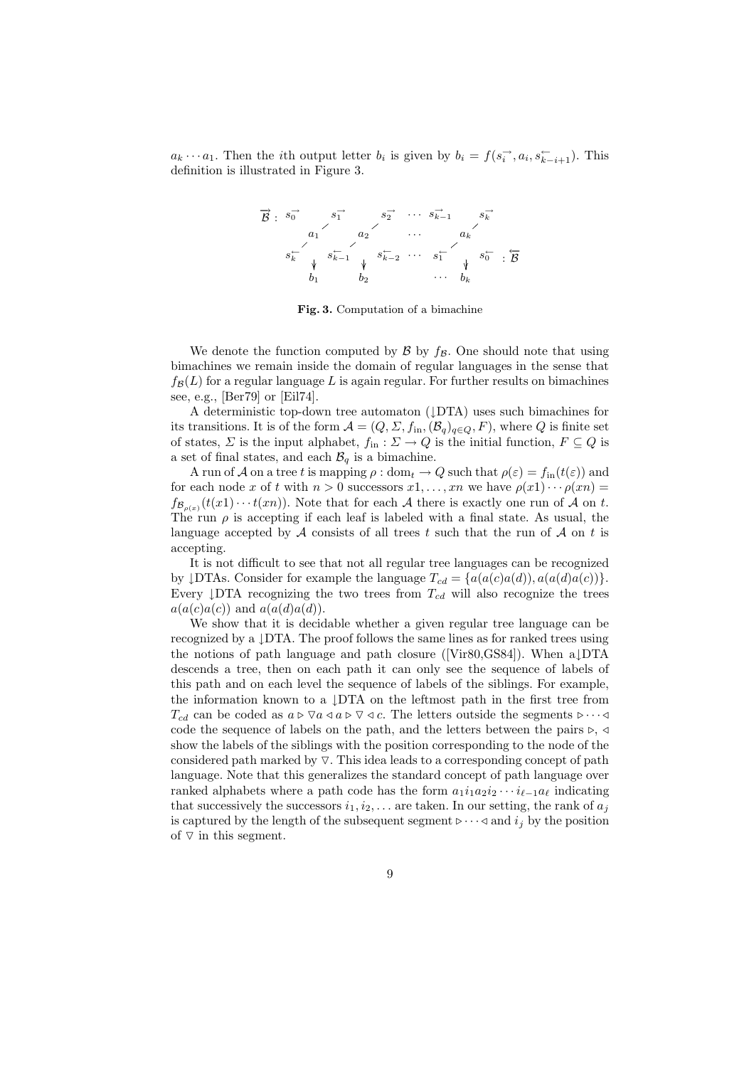$a_k \cdots a_1$ . Then the *i*th output letter  $b_i$  is given by  $b_i = f(s_i^{\rightarrow}, a_i, s_{k-i+1}^{\leftarrow})$ . This definition is illustrated in Figure 3.



Fig. 3. Computation of a bimachine

We denote the function computed by  $\beta$  by  $f_{\beta}$ . One should note that using bimachines we remain inside the domain of regular languages in the sense that  $f_{\mathcal{B}}(L)$  for a regular language L is again regular. For further results on bimachines see, e.g., [Ber79] or [Eil74].

A deterministic top-down tree automaton (↓DTA) uses such bimachines for its transitions. It is of the form  $\mathcal{A} = (Q, \Sigma, f_{\text{in}},(\mathcal{B}_q)_{q \in Q}, F)$ , where Q is finite set of states,  $\Sigma$  is the input alphabet,  $f_{\text{in}} : \Sigma \to Q$  is the initial function,  $F \subseteq Q$  is a set of final states, and each  $\mathcal{B}_q$  is a bimachine.

A run of A on a tree t is mapping  $\rho : dom_t \to Q$  such that  $\rho(\varepsilon) = f_{in}(t(\varepsilon))$  and for each node x of t with  $n > 0$  successors  $x_1, \ldots, x_n$  we have  $\rho(x_1) \cdots \rho(x_n) =$  $f_{\mathcal{B}_{\rho(x)}}(t(x_1)\cdots t(x_n)).$  Note that for each A there is exactly one run of A on t. The run  $\rho$  is accepting if each leaf is labeled with a final state. As usual, the language accepted by  $A$  consists of all trees t such that the run of  $A$  on t is accepting.

It is not difficult to see that not all regular tree languages can be recognized by  $\text{DTAs.}$  Consider for example the language  $T_{cd} = \{a(a(c)a(d)), a(a(d)a(c))\}.$ Every  $\downarrow$ DTA recognizing the two trees from  $T_{cd}$  will also recognize the trees  $a(a(c)a(c))$  and  $a(a(d)a(d))$ .

We show that it is decidable whether a given regular tree language can be recognized by a ↓DTA. The proof follows the same lines as for ranked trees using the notions of path language and path closure ([Vir80,GS84]). When a↓DTA descends a tree, then on each path it can only see the sequence of labels of this path and on each level the sequence of labels of the siblings. For example, the information known to a  $\downarrow$ DTA on the leftmost path in the first tree from  $T_{cd}$  can be coded as  $a \triangleright \nabla a \triangleleft a \triangleright \nabla \triangleleft c$ . The letters outside the segments  $\triangleright \cdots \triangleleft$ code the sequence of labels on the path, and the letters between the pairs  $\triangleright, \triangleleft$ show the labels of the siblings with the position corresponding to the node of the considered path marked by  $\nabla$ . This idea leads to a corresponding concept of path language. Note that this generalizes the standard concept of path language over ranked alphabets where a path code has the form  $a_1i_1a_2i_2\cdots i_{\ell-1}a_{\ell}$  indicating that successively the successors  $i_1, i_2, \ldots$  are taken. In our setting, the rank of  $a_j$ is captured by the length of the subsequent segment  $\triangleright \cdots \triangleleft$  and  $i_j$  by the position of  $\nabla$  in this segment.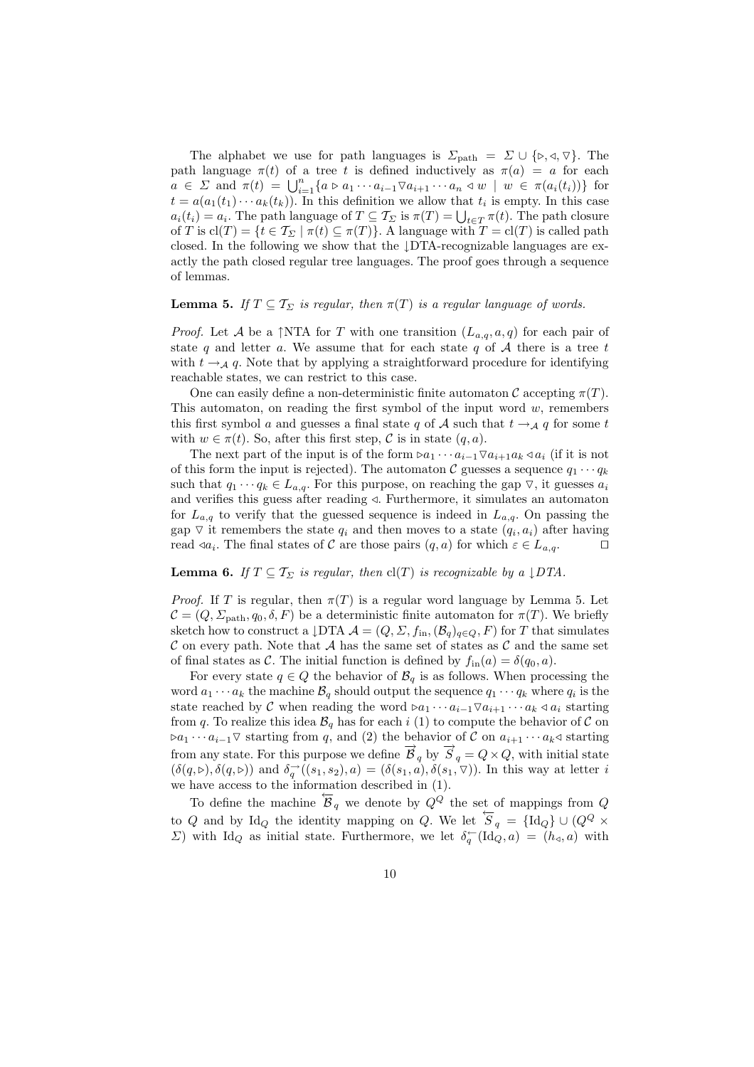The alphabet we use for path languages is  $\Sigma_{\text{path}} = \Sigma \cup \{ \triangleright, \triangleleft, \triangledown \}$ . The path language  $\pi(t)$  of a tree t is defined inductively as  $\pi(a) = a$  for each  $a \in \Sigma$  and  $\pi(t) = \bigcup_{i=1}^n \{a \triangleright a_1 \cdots a_{i-1} \triangledown a_{i+1} \cdots a_n \triangleleft w \mid w \in \pi(a_i(t_i))\}$  for  $t = a(a_1(t_1) \cdots a_k(t_k))$ . In this definition we allow that  $t_i$  is empty. In this case  $a_i(t_i) = a_i$ . The path language of  $T \subseteq \mathcal{T}_{\Sigma}$  is  $\pi(T) = \bigcup_{t \in T} \pi(t)$ . The path closure of T is  $\text{cl}(T) = \{t \in \mathcal{T}_{\Sigma} \mid \pi(t) \subseteq \pi(T)\}\$ . A language with  $T = \text{cl}(T)$  is called path closed. In the following we show that the ↓DTA-recognizable languages are exactly the path closed regular tree languages. The proof goes through a sequence of lemmas.

#### **Lemma 5.** If  $T \subseteq T_{\Sigma}$  is regular, then  $\pi(T)$  is a regular language of words.

*Proof.* Let A be a  $\uparrow$  NTA for T with one transition  $(L_{a,q}, a, q)$  for each pair of state q and letter a. We assume that for each state q of  $A$  there is a tree t with  $t \rightarrow A$  q. Note that by applying a straightforward procedure for identifying reachable states, we can restrict to this case.

One can easily define a non-deterministic finite automaton C accepting  $\pi(T)$ . This automaton, on reading the first symbol of the input word  $w$ , remembers this first symbol a and guesses a final state q of A such that  $t \rightarrow_A q$  for some t with  $w \in \pi(t)$ . So, after this first step, C is in state  $(q, a)$ .

The next part of the input is of the form  $\triangleright a_1 \cdots a_{i-1} \triangledown a_{i+1} a_k \triangleleft a_i$  (if it is not of this form the input is rejected). The automaton  $C$  guesses a sequence  $q_1 \cdots q_k$ such that  $q_1 \cdots q_k \in L_{a,q}$ . For this purpose, on reaching the gap  $\nabla$ , it guesses  $a_i$ and verifies this guess after reading  $\triangleleft$ . Furthermore, it simulates an automaton for  $L_{a,q}$  to verify that the guessed sequence is indeed in  $L_{a,q}$ . On passing the gap  $\triangledown$  it remembers the state  $q_i$  and then moves to a state  $(q_i, a_i)$  after having read  $\triangleleft a_i$ . The final states of C are those pairs  $(q, a)$  for which  $\varepsilon \in L_{a,q}$ .

#### **Lemma 6.** If  $T \subseteq T_{\Sigma}$  is regular, then  $cl(T)$  is recognizable by a  $\downarrow$  DTA.

*Proof.* If T is regular, then  $\pi(T)$  is a regular word language by Lemma 5. Let  $\mathcal{C} = (Q, \Sigma_{\text{path}}, q_0, \delta, F)$  be a deterministic finite automaton for  $\pi(T)$ . We briefly sketch how to construct a  $\downarrow$ DTA  $\mathcal{A} = (Q, \Sigma, f_{\text{in}},(\mathcal{B}_q)_{q\in Q}, F)$  for T that simulates C on every path. Note that A has the same set of states as C and the same set of final states as C. The initial function is defined by  $f_{\text{in}}(a) = \delta(q_0, a)$ .

For every state  $q \in Q$  the behavior of  $\mathcal{B}_q$  is as follows. When processing the word  $a_1 \cdots a_k$  the machine  $\mathcal{B}_q$  should output the sequence  $q_1 \cdots q_k$  where  $q_i$  is the state reached by C when reading the word  $\triangleright a_1 \cdots a_{i-1} \triangledown a_{i+1} \cdots a_k \triangleleft a_i$  starting from q. To realize this idea  $\mathcal{B}_q$  has for each i (1) to compute the behavior of C on  $\triangleright a_1 \cdots a_{i-1} \triangledown$  starting from q, and (2) the behavior of C on  $a_{i+1} \cdots a_k \triangleleft$  starting from any state. For this purpose we define  $\vec{B}_q$  by  $\vec{S}_q = Q \times Q$ , with initial state  $(\delta(q, \triangleright), \delta(q, \triangleright))$  and  $\delta_q^{\rightarrow}((s_1, s_2), a) = (\delta(s_1, a), \delta(s_1, \triangleright))$ . In this way at letter i we have access to the information described in (1).

To define the machine  $\overline{B}_q$  we denote by  $Q^Q$  the set of mappings from Q to Q and by Id<sub>Q</sub> the identity mapping on Q. We let  $\overleftarrow{S}_q = {\text{Id}_Q} \cup (Q^Q \times$  $\Sigma$ ) with Id<sub>Q</sub> as initial state. Furthermore, we let  $\delta_q^{\leftarrow}(\text{Id}_Q, a) = (h_q, a)$  with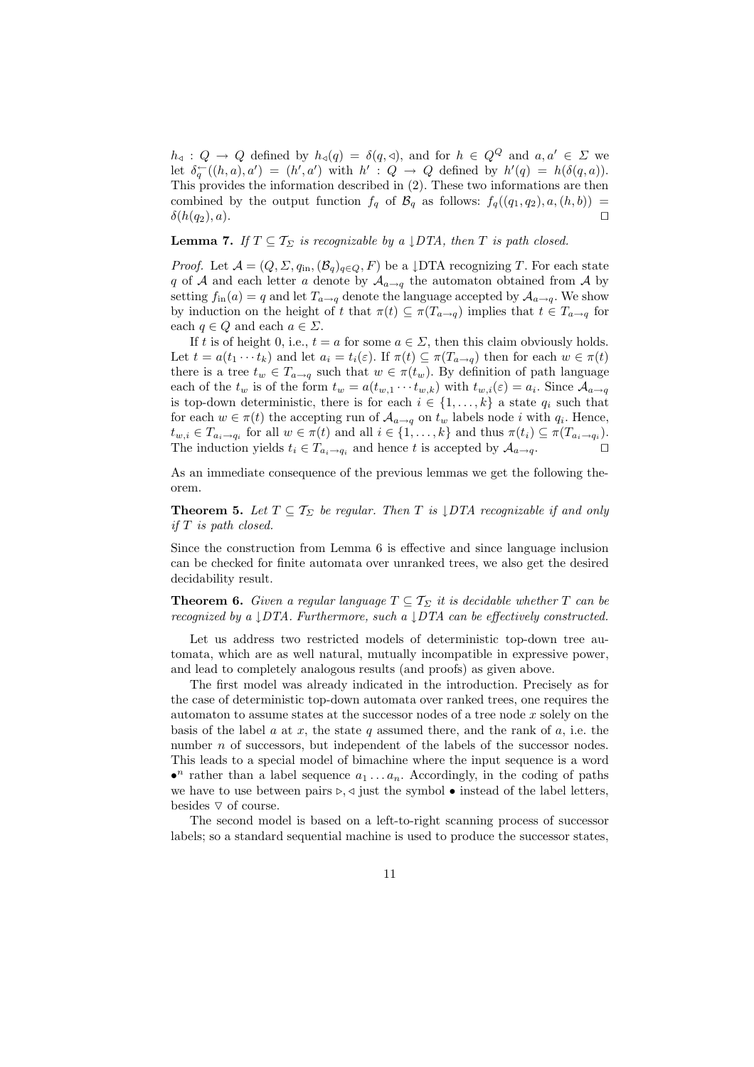$h_{\alpha}: Q \to Q$  defined by  $h_{\alpha}(q) = \delta(q, \triangleleft),$  and for  $h \in Q^Q$  and  $a, a' \in \Sigma$  we let  $\delta_q^{\leftarrow}((h,a),a') = (h',a')$  with  $h' : Q \rightarrow Q$  defined by  $h'(q) = h(\delta(q,a))$ . This provides the information described in (2). These two informations are then combined by the output function  $f_q$  of  $\mathcal{B}_q$  as follows:  $f_q((q_1, q_2), a, (h, b)) =$  $\delta(h(q_2), a)$ .

### **Lemma 7.** If  $T \subseteq T_{\Sigma}$  is recognizable by a  $\downarrow$  DTA, then T is path closed.

*Proof.* Let  $\mathcal{A} = (Q, \Sigma, q_{\text{in}}, (\mathcal{B}_q)_{q \in Q}, F)$  be a  $\downarrow$ DTA recognizing T. For each state q of A and each letter a denote by  $A_{a\to q}$  the automaton obtained from A by setting  $f_{\text{in}}(a) = q$  and let  $T_{a\to q}$  denote the language accepted by  $\mathcal{A}_{a\to q}$ . We show by induction on the height of t that  $\pi(t) \subseteq \pi(T_{a\to q})$  implies that  $t \in T_{a\to q}$  for each  $q \in Q$  and each  $a \in \Sigma$ .

If t is of height 0, i.e.,  $t = a$  for some  $a \in \Sigma$ , then this claim obviously holds. Let  $t = a(t_1 \cdots t_k)$  and let  $a_i = t_i(\varepsilon)$ . If  $\pi(t) \subseteq \pi(T_{a \to q})$  then for each  $w \in \pi(t)$ there is a tree  $t_w \in T_{a\to q}$  such that  $w \in \pi(t_w)$ . By definition of path language each of the  $t_w$  is of the form  $t_w = a(t_{w,1} \cdots t_{w,k})$  with  $t_{w,i}(\varepsilon) = a_i$ . Since  $\mathcal{A}_{a \to q}$ is top-down deterministic, there is for each  $i \in \{1, ..., k\}$  a state  $q_i$  such that for each  $w \in \pi(t)$  the accepting run of  $\mathcal{A}_{a \to q}$  on  $t_w$  labels node i with  $q_i$ . Hence,  $t_{w,i} \in T_{a_i \to q_i}$  for all  $w \in \pi(t)$  and all  $i \in \{1, \ldots, k\}$  and thus  $\pi(t_i) \subseteq \pi(T_{a_i \to q_i})$ . The induction yields  $t_i \in T_{a_i \to q_i}$  and hence t is accepted by  $A_{a \to q}$ .

As an immediate consequence of the previous lemmas we get the following theorem.

**Theorem 5.** Let  $T \subseteq T_{\Sigma}$  be regular. Then T is  $\downarrow$  DTA recognizable if and only if T is path closed.

Since the construction from Lemma 6 is effective and since language inclusion can be checked for finite automata over unranked trees, we also get the desired decidability result.

**Theorem 6.** Given a regular language  $T \subseteq T_{\Sigma}$  it is decidable whether T can be recognized by a ↓DTA. Furthermore, such a ↓DTA can be effectively constructed.

Let us address two restricted models of deterministic top-down tree automata, which are as well natural, mutually incompatible in expressive power, and lead to completely analogous results (and proofs) as given above.

The first model was already indicated in the introduction. Precisely as for the case of deterministic top-down automata over ranked trees, one requires the automaton to assume states at the successor nodes of a tree node  $x$  solely on the basis of the label  $a$  at  $x$ , the state  $q$  assumed there, and the rank of  $a$ , i.e. the number *n* of successors, but independent of the labels of the successor nodes. This leads to a special model of bimachine where the input sequence is a word •<sup>n</sup> rather than a label sequence  $a_1 \ldots a_n$ . Accordingly, in the coding of paths we have to use between pairs  $\rho$ ,  $\triangleleft$  just the symbol  $\bullet$  instead of the label letters, besides  $\nabla$  of course.

The second model is based on a left-to-right scanning process of successor labels; so a standard sequential machine is used to produce the successor states,